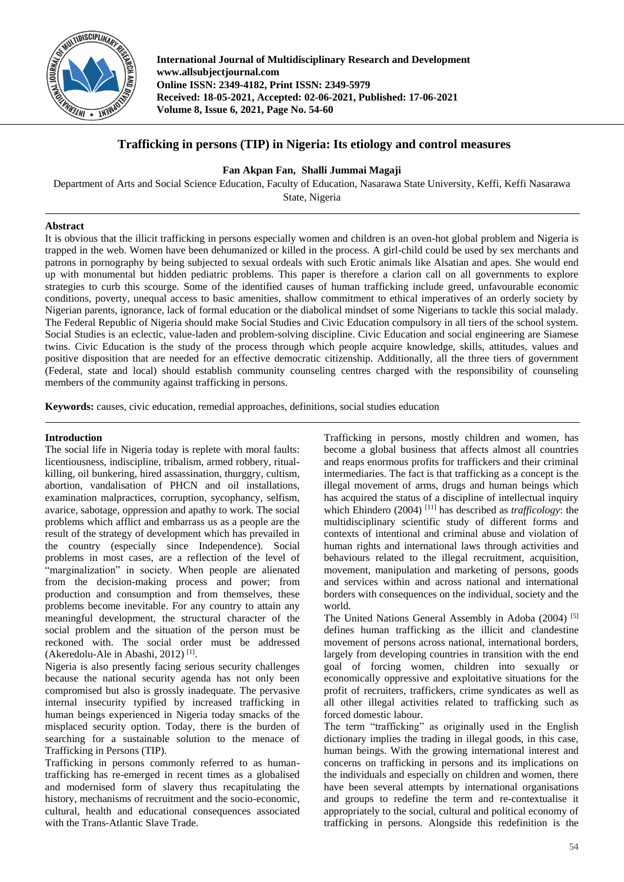

**International Journal of Multidisciplinary Research and Development www.allsubjectjournal.com Online ISSN: 2349-4182, Print ISSN: 2349-5979 Received: 18-05-2021, Accepted: 02-06-2021, Published: 17-06-2021 Volume 8, Issue 6, 2021, Page No. 54-60**

# **Trafficking in persons (TIP) in Nigeria: Its etiology and control measures**

**Fan Akpan Fan, Shalli Jummai Magaji**

Department of Arts and Social Science Education, Faculty of Education, Nasarawa State University, Keffi, Keffi Nasarawa State, Nigeria

# **Abstract**

It is obvious that the illicit trafficking in persons especially women and children is an oven-hot global problem and Nigeria is trapped in the web. Women have been dehumanized or killed in the process. A girl-child could be used by sex merchants and patrons in pornography by being subjected to sexual ordeals with such Erotic animals like Alsatian and apes. She would end up with monumental but hidden pediatric problems. This paper is therefore a clarion call on all governments to explore strategies to curb this scourge. Some of the identified causes of human trafficking include greed, unfavourable economic conditions, poverty, unequal access to basic amenities, shallow commitment to ethical imperatives of an orderly society by Nigerian parents, ignorance, lack of formal education or the diabolical mindset of some Nigerians to tackle this social malady. The Federal Republic of Nigeria should make Social Studies and Civic Education compulsory in all tiers of the school system. Social Studies is an eclectic, value-laden and problem-solving discipline. Civic Education and social engineering are Siamese twins. Civic Education is the study of the process through which people acquire knowledge, skills, attitudes, values and positive disposition that are needed for an effective democratic citizenship. Additionally, all the three tiers of government (Federal, state and local) should establish community counseling centres charged with the responsibility of counseling members of the community against trafficking in persons.

**Keywords:** causes, civic education, remedial approaches, definitions, social studies education

## **Introduction**

The social life in Nigeria today is replete with moral faults: licentiousness, indiscipline, tribalism, armed robbery, ritualkilling, oil bunkering, hired assassination, thurggry, cultism, abortion, vandalisation of PHCN and oil installations, examination malpractices, corruption, sycophancy, selfism, avarice, sabotage, oppression and apathy to work. The social problems which afflict and embarrass us as a people are the result of the strategy of development which has prevailed in the country (especially since Independence). Social problems in most cases, are a reflection of the level of "marginalization" in society. When people are alienated from the decision-making process and power; from production and consumption and from themselves, these problems become inevitable. For any country to attain any meaningful development, the structural character of the social problem and the situation of the person must be reckoned with. The social order must be addressed (Akeredolu-Ale in Abashi, 2012)<sup>[1]</sup>.

Nigeria is also presently facing serious security challenges because the national security agenda has not only been compromised but also is grossly inadequate. The pervasive internal insecurity typified by increased trafficking in human beings experienced in Nigeria today smacks of the misplaced security option. Today, there is the burden of searching for a sustainable solution to the menace of Trafficking in Persons (TIP).

Trafficking in persons commonly referred to as humantrafficking has re-emerged in recent times as a globalised and modernised form of slavery thus recapitulating the history, mechanisms of recruitment and the socio-economic, cultural, health and educational consequences associated with the Trans-Atlantic Slave Trade.

Trafficking in persons, mostly children and women, has become a global business that affects almost all countries and reaps enormous profits for traffickers and their criminal intermediaries. The fact is that trafficking as a concept is the illegal movement of arms, drugs and human beings which has acquired the status of a discipline of intellectual inquiry which Ehindero (2004) [11] has described as *trafficology*: the multidisciplinary scientific study of different forms and contexts of intentional and criminal abuse and violation of human rights and international laws through activities and behaviours related to the illegal recruitment, acquisition, movement, manipulation and marketing of persons, goods and services within and across national and international borders with consequences on the individual, society and the world.

The United Nations General Assembly in Adoba (2004) [5] defines human trafficking as the illicit and clandestine movement of persons across national, international borders, largely from developing countries in transition with the end goal of forcing women, children into sexually or economically oppressive and exploitative situations for the profit of recruiters, traffickers, crime syndicates as well as all other illegal activities related to trafficking such as forced domestic labour.

The term "trafficking" as originally used in the English dictionary implies the trading in illegal goods, in this case, human beings. With the growing international interest and concerns on trafficking in persons and its implications on the individuals and especially on children and women, there have been several attempts by international organisations and groups to redefine the term and re-contextualise it appropriately to the social, cultural and political economy of trafficking in persons. Alongside this redefinition is the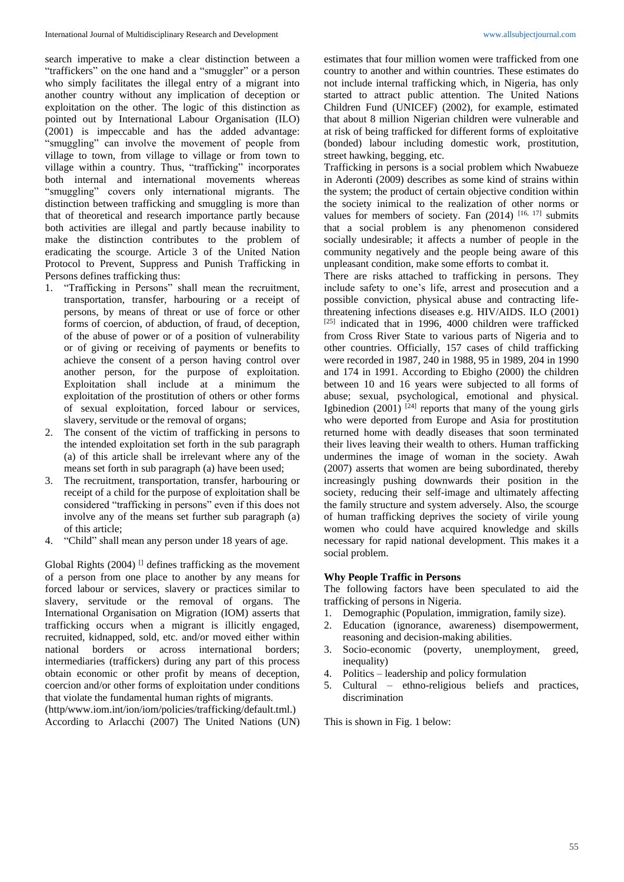search imperative to make a clear distinction between a "traffickers" on the one hand and a "smuggler" or a person who simply facilitates the illegal entry of a migrant into another country without any implication of deception or exploitation on the other. The logic of this distinction as pointed out by International Labour Organisation (ILO) (2001) is impeccable and has the added advantage: "smuggling" can involve the movement of people from village to town, from village to village or from town to village within a country. Thus, "trafficking" incorporates both internal and international movements whereas "smuggling" covers only international migrants. The distinction between trafficking and smuggling is more than that of theoretical and research importance partly because both activities are illegal and partly because inability to make the distinction contributes to the problem of eradicating the scourge. Article 3 of the United Nation Protocol to Prevent, Suppress and Punish Trafficking in Persons defines trafficking thus:

- 1. "Trafficking in Persons" shall mean the recruitment, transportation, transfer, harbouring or a receipt of persons, by means of threat or use of force or other forms of coercion, of abduction, of fraud, of deception, of the abuse of power or of a position of vulnerability or of giving or receiving of payments or benefits to achieve the consent of a person having control over another person, for the purpose of exploitation. Exploitation shall include at a minimum the exploitation of the prostitution of others or other forms of sexual exploitation, forced labour or services, slavery, servitude or the removal of organs;
- 2. The consent of the victim of trafficking in persons to the intended exploitation set forth in the sub paragraph (a) of this article shall be irrelevant where any of the means set forth in sub paragraph (a) have been used;
- 3. The recruitment, transportation, transfer, harbouring or receipt of a child for the purpose of exploitation shall be considered "trafficking in persons" even if this does not involve any of the means set further sub paragraph (a) of this article;
- 4. "Child" shall mean any person under 18 years of age.

Global Rights (2004)  $\Box$  defines trafficking as the movement of a person from one place to another by any means for forced labour or services, slavery or practices similar to slavery, servitude or the removal of organs. The International Organisation on Migration (IOM) asserts that trafficking occurs when a migrant is illicitly engaged, recruited, kidnapped, sold, etc. and/or moved either within national borders or across international borders; intermediaries (traffickers) during any part of this process obtain economic or other profit by means of deception, coercion and/or other forms of exploitation under conditions that violate the fundamental human rights of migrants.

(http/www.iom.int/ion/iom/policies/trafficking/default.tml.) According to Arlacchi (2007) The United Nations (UN) estimates that four million women were trafficked from one country to another and within countries. These estimates do not include internal trafficking which, in Nigeria, has only started to attract public attention. The United Nations Children Fund (UNICEF) (2002), for example, estimated that about 8 million Nigerian children were vulnerable and at risk of being trafficked for different forms of exploitative (bonded) labour including domestic work, prostitution, street hawking, begging, etc.

Trafficking in persons is a social problem which Nwabueze in Aderonti (2009) describes as some kind of strains within the system; the product of certain objective condition within the society inimical to the realization of other norms or values for members of society. Fan  $(2014)$  [16, 17] submits that a social problem is any phenomenon considered socially undesirable; it affects a number of people in the community negatively and the people being aware of this unpleasant condition, make some efforts to combat it.

There are risks attached to trafficking in persons. They include safety to one's life, arrest and prosecution and a possible conviction, physical abuse and contracting lifethreatening infections diseases e.g. HIV/AIDS. ILO (2001) [25] indicated that in 1996, 4000 children were trafficked from Cross River State to various parts of Nigeria and to other countries. Officially, 157 cases of child trafficking were recorded in 1987, 240 in 1988, 95 in 1989, 204 in 1990 and 174 in 1991. According to Ebigho (2000) the children between 10 and 16 years were subjected to all forms of abuse; sexual, psychological, emotional and physical. Igbinedion  $(2001)$ <sup>[24]</sup> reports that many of the young girls who were deported from Europe and Asia for prostitution returned home with deadly diseases that soon terminated their lives leaving their wealth to others. Human trafficking undermines the image of woman in the society. Awah (2007) asserts that women are being subordinated, thereby increasingly pushing downwards their position in the society, reducing their self-image and ultimately affecting the family structure and system adversely. Also, the scourge of human trafficking deprives the society of virile young women who could have acquired knowledge and skills necessary for rapid national development. This makes it a social problem.

### **Why People Traffic in Persons**

The following factors have been speculated to aid the trafficking of persons in Nigeria.

- 1. Demographic (Population, immigration, family size).
- 2. Education (ignorance, awareness) disempowerment, reasoning and decision-making abilities.
- 3. Socio-economic (poverty, unemployment, greed, inequality)
- 4. Politics leadership and policy formulation
- 5. Cultural ethno-religious beliefs and practices, discrimination

This is shown in Fig. 1 below: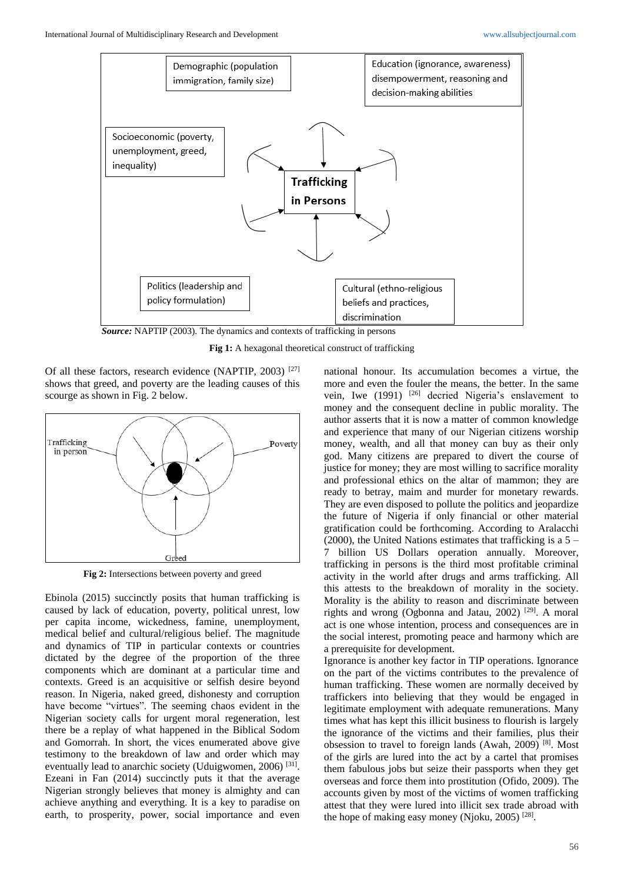

*Source:* NAPTIP (2003). The dynamics and contexts of trafficking in persons

Fig 1: A hexagonal theoretical construct of trafficking

Of all these factors, research evidence (NAPTIP, 2003) [27] shows that greed, and poverty are the leading causes of this scourge as shown in Fig. 2 below.



**Fig 2:** Intersections between poverty and greed

Ebinola (2015) succinctly posits that human trafficking is caused by lack of education, poverty, political unrest, low per capita income, wickedness, famine, unemployment, medical belief and cultural/religious belief. The magnitude and dynamics of TIP in particular contexts or countries dictated by the degree of the proportion of the three components which are dominant at a particular time and contexts. Greed is an acquisitive or selfish desire beyond reason. In Nigeria, naked greed, dishonesty and corruption have become "virtues". The seeming chaos evident in the Nigerian society calls for urgent moral regeneration, lest there be a replay of what happened in the Biblical Sodom and Gomorrah. In short, the vices enumerated above give testimony to the breakdown of law and order which may eventually lead to anarchic society (Uduigwomen, 2006)<sup>[31]</sup>. Ezeani in Fan (2014) succinctly puts it that the average Nigerian strongly believes that money is almighty and can achieve anything and everything. It is a key to paradise on earth, to prosperity, power, social importance and even

national honour. Its accumulation becomes a virtue, the more and even the fouler the means, the better. In the same vein, Iwe (1991) <sup>[26]</sup> decried Nigeria's enslavement to money and the consequent decline in public morality. The author asserts that it is now a matter of common knowledge and experience that many of our Nigerian citizens worship money, wealth, and all that money can buy as their only god. Many citizens are prepared to divert the course of justice for money; they are most willing to sacrifice morality and professional ethics on the altar of mammon; they are ready to betray, maim and murder for monetary rewards. They are even disposed to pollute the politics and jeopardize the future of Nigeria if only financial or other material gratification could be forthcoming. According to Aralacchi (2000), the United Nations estimates that trafficking is a  $5 -$ 7 billion US Dollars operation annually. Moreover, trafficking in persons is the third most profitable criminal activity in the world after drugs and arms trafficking. All this attests to the breakdown of morality in the society. Morality is the ability to reason and discriminate between rights and wrong (Ogbonna and Jatau, 2002)<sup>[29]</sup>. A moral act is one whose intention, process and consequences are in the social interest, promoting peace and harmony which are a prerequisite for development.

Ignorance is another key factor in TIP operations. Ignorance on the part of the victims contributes to the prevalence of human trafficking. These women are normally deceived by traffickers into believing that they would be engaged in legitimate employment with adequate remunerations. Many times what has kept this illicit business to flourish is largely the ignorance of the victims and their families, plus their obsession to travel to foreign lands (Awah, 2009)<sup>[8]</sup>. Most of the girls are lured into the act by a cartel that promises them fabulous jobs but seize their passports when they get overseas and force them into prostitution (Ofido, 2009). The accounts given by most of the victims of women trafficking attest that they were lured into illicit sex trade abroad with the hope of making easy money (Njoku, 2005)<sup>[28]</sup>.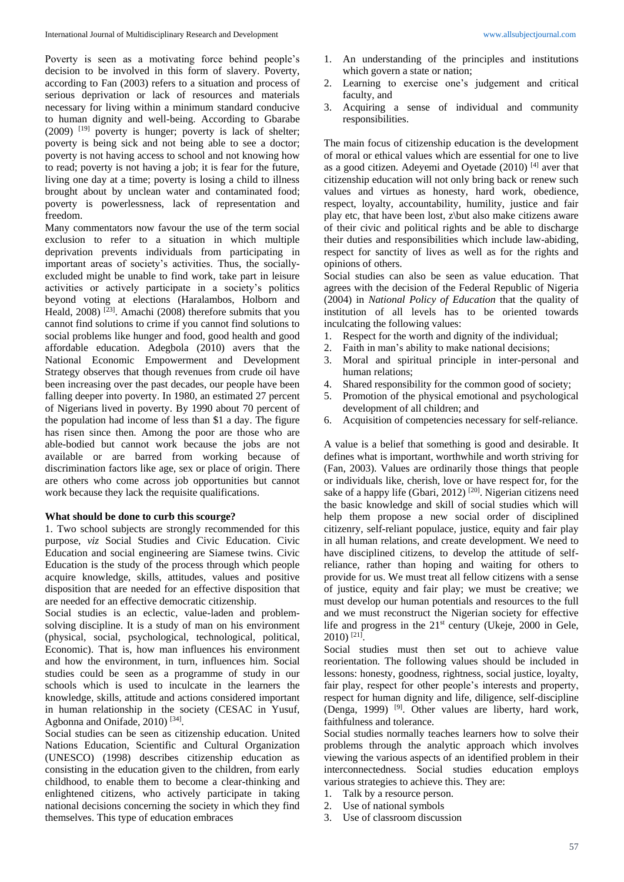Poverty is seen as a motivating force behind people's decision to be involved in this form of slavery. Poverty, according to Fan (2003) refers to a situation and process of serious deprivation or lack of resources and materials necessary for living within a minimum standard conducive to human dignity and well-being. According to Gbarabe (2009) [19] poverty is hunger; poverty is lack of shelter; poverty is being sick and not being able to see a doctor; poverty is not having access to school and not knowing how to read; poverty is not having a job; it is fear for the future, living one day at a time; poverty is losing a child to illness brought about by unclean water and contaminated food; poverty is powerlessness, lack of representation and freedom.

Many commentators now favour the use of the term social exclusion to refer to a situation in which multiple deprivation prevents individuals from participating in important areas of society's activities. Thus, the sociallyexcluded might be unable to find work, take part in leisure activities or actively participate in a society's politics beyond voting at elections (Haralambos, Holborn and Heald, 2008)<sup>[23]</sup>. Amachi (2008) therefore submits that you cannot find solutions to crime if you cannot find solutions to social problems like hunger and food, good health and good affordable education. Adegbola (2010) avers that the National Economic Empowerment and Development Strategy observes that though revenues from crude oil have been increasing over the past decades, our people have been falling deeper into poverty. In 1980, an estimated 27 percent of Nigerians lived in poverty. By 1990 about 70 percent of the population had income of less than \$1 a day. The figure has risen since then. Among the poor are those who are able-bodied but cannot work because the jobs are not available or are barred from working because of discrimination factors like age, sex or place of origin. There are others who come across job opportunities but cannot work because they lack the requisite qualifications.

### **What should be done to curb this scourge?**

1. Two school subjects are strongly recommended for this purpose, *viz* Social Studies and Civic Education. Civic Education and social engineering are Siamese twins. Civic Education is the study of the process through which people acquire knowledge, skills, attitudes, values and positive disposition that are needed for an effective disposition that are needed for an effective democratic citizenship.

Social studies is an eclectic, value-laden and problemsolving discipline. It is a study of man on his environment (physical, social, psychological, technological, political, Economic). That is, how man influences his environment and how the environment, in turn, influences him. Social studies could be seen as a programme of study in our schools which is used to inculcate in the learners the knowledge, skills, attitude and actions considered important in human relationship in the society (CESAC in Yusuf, Agbonna and Onifade, 2010)<sup>[34]</sup>.

Social studies can be seen as citizenship education. United Nations Education, Scientific and Cultural Organization (UNESCO) (1998) describes citizenship education as consisting in the education given to the children, from early childhood, to enable them to become a clear-thinking and enlightened citizens, who actively participate in taking national decisions concerning the society in which they find themselves. This type of education embraces

- 1. An understanding of the principles and institutions which govern a state or nation;
- 2. Learning to exercise one's judgement and critical faculty, and
- 3. Acquiring a sense of individual and community responsibilities.

The main focus of citizenship education is the development of moral or ethical values which are essential for one to live as a good citizen. Adeyemi and Oyetade (2010)<sup>[4]</sup> aver that citizenship education will not only bring back or renew such values and virtues as honesty, hard work, obedience, respect, loyalty, accountability, humility, justice and fair play etc, that have been lost, z\but also make citizens aware of their civic and political rights and be able to discharge their duties and responsibilities which include law-abiding, respect for sanctity of lives as well as for the rights and opinions of others.

Social studies can also be seen as value education. That agrees with the decision of the Federal Republic of Nigeria (2004) in *National Policy of Education* that the quality of institution of all levels has to be oriented towards inculcating the following values:

- 1. Respect for the worth and dignity of the individual;
- 2. Faith in man's ability to make national decisions;
- 3. Moral and spiritual principle in inter-personal and human relations;
- 4. Shared responsibility for the common good of society;
- 5. Promotion of the physical emotional and psychological development of all children; and
- 6. Acquisition of competencies necessary for self-reliance.

A value is a belief that something is good and desirable. It defines what is important, worthwhile and worth striving for (Fan, 2003). Values are ordinarily those things that people or individuals like, cherish, love or have respect for, for the sake of a happy life (Gbari, 2012)<sup>[20]</sup>. Nigerian citizens need the basic knowledge and skill of social studies which will help them propose a new social order of disciplined citizenry, self-reliant populace, justice, equity and fair play in all human relations, and create development. We need to have disciplined citizens, to develop the attitude of selfreliance, rather than hoping and waiting for others to provide for us. We must treat all fellow citizens with a sense of justice, equity and fair play; we must be creative; we must develop our human potentials and resources to the full and we must reconstruct the Nigerian society for effective life and progress in the  $21<sup>st</sup>$  century (Ukeje, 2000 in Gele,  $2010$ ) <sup>[21]</sup>.

Social studies must then set out to achieve value reorientation. The following values should be included in lessons: honesty, goodness, rightness, social justice, loyalty, fair play, respect for other people's interests and property, respect for human dignity and life, diligence, self-discipline (Denga, 1999)<sup>[9]</sup>. Other values are liberty, hard work, faithfulness and tolerance.

Social studies normally teaches learners how to solve their problems through the analytic approach which involves viewing the various aspects of an identified problem in their interconnectedness. Social studies education employs various strategies to achieve this. They are:

- 1. Talk by a resource person.
- 2. Use of national symbols
- 3. Use of classroom discussion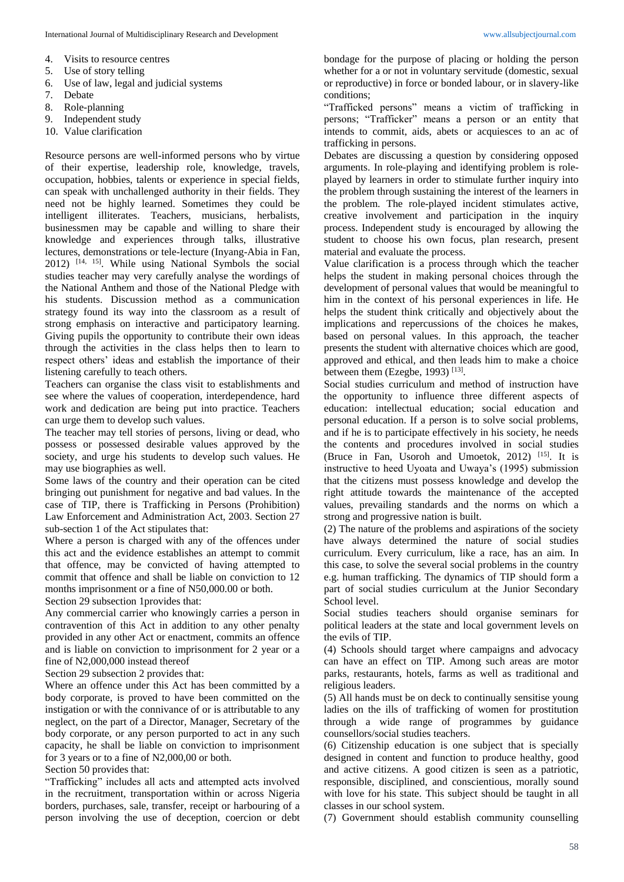- 4. Visits to resource centres
- 5. Use of story telling
- 6. Use of law, legal and judicial systems
- 7. Debate
- 8. Role-planning
- 9. Independent study
- 10. Value clarification

Resource persons are well-informed persons who by virtue of their expertise, leadership role, knowledge, travels, occupation, hobbies, talents or experience in special fields, can speak with unchallenged authority in their fields. They need not be highly learned. Sometimes they could be intelligent illiterates. Teachers, musicians, herbalists, businessmen may be capable and willing to share their knowledge and experiences through talks, illustrative lectures, demonstrations or tele-lecture (Inyang-Abia in Fan, 2012) [14, 15] . While using National Symbols the social studies teacher may very carefully analyse the wordings of the National Anthem and those of the National Pledge with his students. Discussion method as a communication strategy found its way into the classroom as a result of strong emphasis on interactive and participatory learning. Giving pupils the opportunity to contribute their own ideas through the activities in the class helps then to learn to respect others' ideas and establish the importance of their listening carefully to teach others.

Teachers can organise the class visit to establishments and see where the values of cooperation, interdependence, hard work and dedication are being put into practice. Teachers can urge them to develop such values.

The teacher may tell stories of persons, living or dead, who possess or possessed desirable values approved by the society, and urge his students to develop such values. He may use biographies as well.

Some laws of the country and their operation can be cited bringing out punishment for negative and bad values. In the case of TIP, there is Trafficking in Persons (Prohibition) Law Enforcement and Administration Act, 2003. Section 27 sub-section 1 of the Act stipulates that:

Where a person is charged with any of the offences under this act and the evidence establishes an attempt to commit that offence, may be convicted of having attempted to commit that offence and shall be liable on conviction to 12 months imprisonment or a fine of N50,000.00 or both.

Section 29 subsection 1provides that:

Any commercial carrier who knowingly carries a person in contravention of this Act in addition to any other penalty provided in any other Act or enactment, commits an offence and is liable on conviction to imprisonment for 2 year or a fine of N2,000,000 instead thereof

Section 29 subsection 2 provides that:

Where an offence under this Act has been committed by a body corporate, is proved to have been committed on the instigation or with the connivance of or is attributable to any neglect, on the part of a Director, Manager, Secretary of the body corporate, or any person purported to act in any such capacity, he shall be liable on conviction to imprisonment for 3 years or to a fine of N2,000,00 or both.

Section 50 provides that:

"Trafficking" includes all acts and attempted acts involved in the recruitment, transportation within or across Nigeria borders, purchases, sale, transfer, receipt or harbouring of a person involving the use of deception, coercion or debt bondage for the purpose of placing or holding the person whether for a or not in voluntary servitude (domestic, sexual or reproductive) in force or bonded labour, or in slavery-like conditions;

"Trafficked persons" means a victim of trafficking in persons; "Trafficker" means a person or an entity that intends to commit, aids, abets or acquiesces to an ac of trafficking in persons.

Debates are discussing a question by considering opposed arguments. In role-playing and identifying problem is roleplayed by learners in order to stimulate further inquiry into the problem through sustaining the interest of the learners in the problem. The role-played incident stimulates active, creative involvement and participation in the inquiry process. Independent study is encouraged by allowing the student to choose his own focus, plan research, present material and evaluate the process.

Value clarification is a process through which the teacher helps the student in making personal choices through the development of personal values that would be meaningful to him in the context of his personal experiences in life. He helps the student think critically and objectively about the implications and repercussions of the choices he makes, based on personal values. In this approach, the teacher presents the student with alternative choices which are good, approved and ethical, and then leads him to make a choice between them (Ezegbe, 1993)<sup>[13]</sup>.

Social studies curriculum and method of instruction have the opportunity to influence three different aspects of education: intellectual education; social education and personal education. If a person is to solve social problems, and if he is to participate effectively in his society, he needs the contents and procedures involved in social studies (Bruce in Fan, Usoroh and Umoetok, 2012) [15] . It is instructive to heed Uyoata and Uwaya's (1995) submission that the citizens must possess knowledge and develop the right attitude towards the maintenance of the accepted values, prevailing standards and the norms on which a strong and progressive nation is built.

(2) The nature of the problems and aspirations of the society have always determined the nature of social studies curriculum. Every curriculum, like a race, has an aim. In this case, to solve the several social problems in the country e.g. human trafficking. The dynamics of TIP should form a part of social studies curriculum at the Junior Secondary School level.

Social studies teachers should organise seminars for political leaders at the state and local government levels on the evils of TIP.

(4) Schools should target where campaigns and advocacy can have an effect on TIP. Among such areas are motor parks, restaurants, hotels, farms as well as traditional and religious leaders.

(5) All hands must be on deck to continually sensitise young ladies on the ills of trafficking of women for prostitution through a wide range of programmes by guidance counsellors/social studies teachers.

(6) Citizenship education is one subject that is specially designed in content and function to produce healthy, good and active citizens. A good citizen is seen as a patriotic, responsible, disciplined, and conscientious, morally sound with love for his state. This subject should be taught in all classes in our school system.

(7) Government should establish community counselling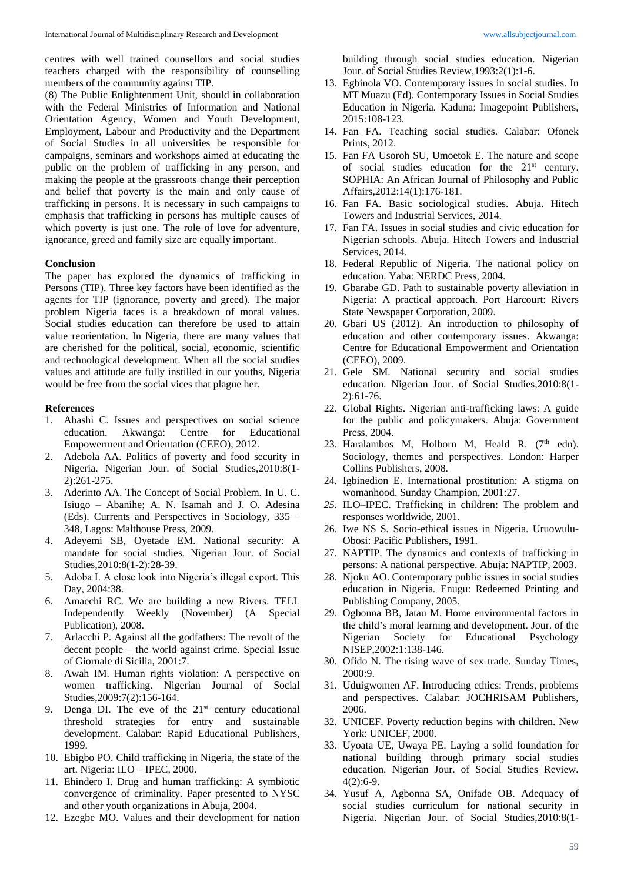centres with well trained counsellors and social studies teachers charged with the responsibility of counselling members of the community against TIP.

(8) The Public Enlightenment Unit, should in collaboration with the Federal Ministries of Information and National Orientation Agency, Women and Youth Development, Employment, Labour and Productivity and the Department of Social Studies in all universities be responsible for campaigns, seminars and workshops aimed at educating the public on the problem of trafficking in any person, and making the people at the grassroots change their perception and belief that poverty is the main and only cause of trafficking in persons. It is necessary in such campaigns to emphasis that trafficking in persons has multiple causes of which poverty is just one. The role of love for adventure, ignorance, greed and family size are equally important.

#### **Conclusion**

The paper has explored the dynamics of trafficking in Persons (TIP). Three key factors have been identified as the agents for TIP (ignorance, poverty and greed). The major problem Nigeria faces is a breakdown of moral values. Social studies education can therefore be used to attain value reorientation. In Nigeria, there are many values that are cherished for the political, social, economic, scientific and technological development. When all the social studies values and attitude are fully instilled in our youths, Nigeria would be free from the social vices that plague her.

#### **References**

- 1. Abashi C. Issues and perspectives on social science education. Akwanga: Centre for Educational Empowerment and Orientation (CEEO), 2012.
- 2. Adebola AA. Politics of poverty and food security in Nigeria. Nigerian Jour. of Social Studies,2010:8(1- 2):261-275.
- 3. Aderinto AA. The Concept of Social Problem. In U. C. Isiugo – Abanihe; A. N. Isamah and J. O. Adesina (Eds). Currents and Perspectives in Sociology, 335 – 348, Lagos: Malthouse Press, 2009.
- 4. Adeyemi SB, Oyetade EM. National security: A mandate for social studies*.* Nigerian Jour. of Social Studies,2010:8(1-2):28-39.
- 5. Adoba I. A close look into Nigeria's illegal export. This Day, 2004:38.
- 6. Amaechi RC. We are building a new Rivers. TELL Independently Weekly (November) (A Special Publication), 2008.
- 7. Arlacchi P. Against all the godfathers: The revolt of the decent people – the world against crime. Special Issue of Giornale di Sicilia, 2001:7.
- 8. Awah IM. Human rights violation: A perspective on women trafficking. Nigerian Journal of Social Studies,2009:7(2):156-164.
- 9. Denga DI. The eve of the  $21<sup>st</sup>$  century educational threshold strategies for entry and sustainable development. Calabar: Rapid Educational Publishers, 1999.
- 10. Ebigbo PO. Child trafficking in Nigeria, the state of the art. Nigeria: ILO – IPEC, 2000.
- 11. Ehindero I. Drug and human trafficking: A symbiotic convergence of criminality. Paper presented to NYSC and other youth organizations in Abuja, 2004.
- 12. Ezegbe MO. Values and their development for nation

building through social studies education. Nigerian Jour. of Social Studies Review,1993:2(1):1-6.

- 13. Egbinola VO. Contemporary issues in social studies. In MT Muazu (Ed). Contemporary Issues in Social Studies Education in Nigeria*.* Kaduna: Imagepoint Publishers, 2015:108-123.
- 14. Fan FA. Teaching social studies. Calabar: Ofonek Prints, 2012.
- 15. Fan FA Usoroh SU, Umoetok E. The nature and scope of social studies education for the 21<sup>st</sup> century. SOPHIA: An African Journal of Philosophy and Public Affairs,2012:14(1):176-181.
- 16. Fan FA*.* Basic sociological studies. Abuja. Hitech Towers and Industrial Services, 2014.
- 17. Fan FA. Issues in social studies and civic education for Nigerian schools. Abuja. Hitech Towers and Industrial Services, 2014.
- 18. Federal Republic of Nigeria. The national policy on education. Yaba: NERDC Press, 2004.
- 19. Gbarabe GD. Path to sustainable poverty alleviation in Nigeria: A practical approach. Port Harcourt: Rivers State Newspaper Corporation, 2009.
- 20. Gbari US (2012). An introduction to philosophy of education and other contemporary issues. Akwanga: Centre for Educational Empowerment and Orientation (CEEO), 2009.
- 21. Gele SM. National security and social studies education. Nigerian Jour. of Social Studies,2010:8(1- 2):61-76.
- 22. Global Rights. Nigerian anti-trafficking laws: A guide for the public and policymakers. Abuja: Government Press, 2004.
- 23. Haralambos M, Holborn M, Heald R,  $(7<sup>th</sup>$  edn). Sociology, themes and perspectives. London: Harper Collins Publishers, 2008.
- 24. Igbinedion E. International prostitution: A stigma on womanhood. Sunday Champion, 2001:27.
- *25.* ILO–IPEC. Trafficking in children: The problem and responses worldwide, 2001.
- 26. Iwe NS S*.* Socio-ethical issues in Nigeria. Uruowulu-Obosi: Pacific Publishers, 1991.
- 27. NAPTIP. The dynamics and contexts of trafficking in persons: A national perspective. Abuja: NAPTIP, 2003.
- 28. Njoku AO. Contemporary public issues in social studies education in Nigeria*.* Enugu: Redeemed Printing and Publishing Company, 2005.
- 29. Ogbonna BB, Jatau M. Home environmental factors in the child's moral learning and development. Jour. of the Nigerian Society for Educational Psychology NISEP,2002:1:138-146.
- 30. Ofido N. The rising wave of sex trade. Sunday Times, 2000:9.
- 31. Uduigwomen AF. Introducing ethics: Trends, problems and perspectives. Calabar: JOCHRISAM Publishers, 2006.
- 32. UNICEF. Poverty reduction begins with children. New York: UNICEF, 2000.
- 33. Uyoata UE, Uwaya PE. Laying a solid foundation for national building through primary social studies education. Nigerian Jour. of Social Studies Review*.* 4(2):6-9.
- 34. Yusuf A, Agbonna SA, Onifade OB. Adequacy of social studies curriculum for national security in Nigeria. Nigerian Jour. of Social Studies,2010:8(1-